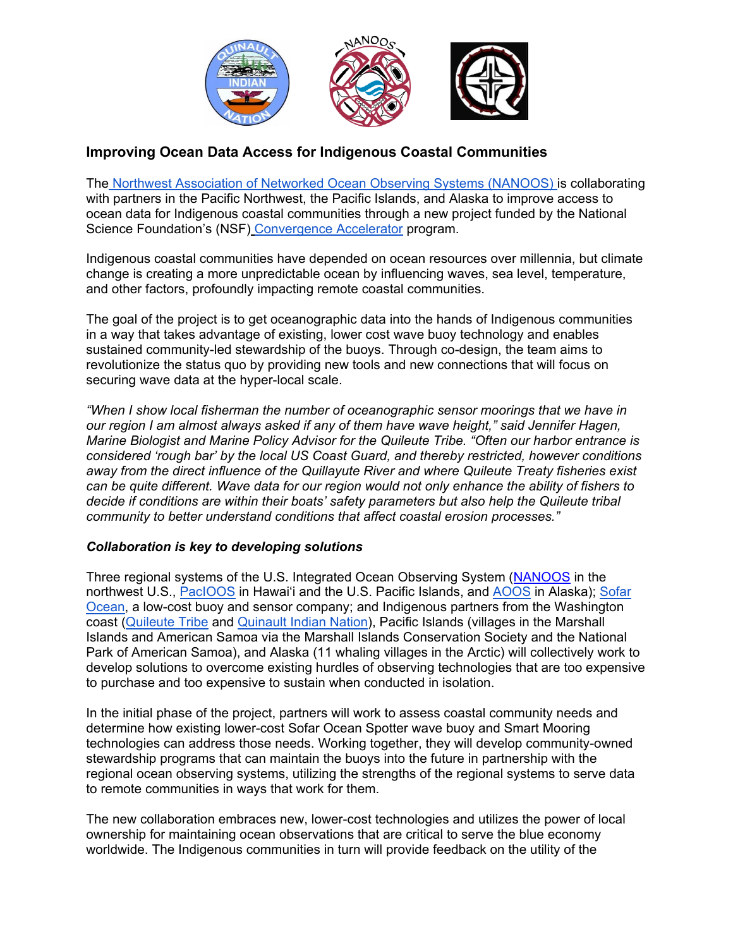

## **Improving Ocean Data Access for Indigenous Coastal Communities**

The [Northwest Association of Networked Ocean Observing Systems \(NANOOS\) i](http://www.nanoos.org/home.php)s collaborating with partners in the Pacific Northwest, the Pacific Islands, and Alaska to improve access to ocean data for Indigenous coastal communities through a new project funded by the National Science Foundation's (NSF) [Convergence Accelerator](http://www.nsf.gov/od/oia/convergence-accelerator) program.

Indigenous coastal communities have depended on ocean resources over millennia, but climate change is creating a more unpredictable ocean by influencing waves, sea level, temperature, and other factors, profoundly impacting remote coastal communities.

The goal of the project is to get oceanographic data into the hands of Indigenous communities in a way that takes advantage of existing, lower cost wave buoy technology and enables sustained community-led stewardship of the buoys. Through co-design, the team aims to revolutionize the status quo by providing new tools and new connections that will focus on securing wave data at the hyper-local scale.

*"When I show local fisherman the number of oceanographic sensor moorings that we have in our region I am almost always asked if any of them have wave height," said Jennifer Hagen, Marine Biologist and Marine Policy Advisor for the Quileute Tribe. "Often our harbor entrance is considered 'rough bar' by the local US Coast Guard, and thereby restricted, however conditions away from the direct influence of the Quillayute River and where Quileute Treaty fisheries exist can be quite different. Wave data for our region would not only enhance the ability of fishers to decide if conditions are within their boats' safety parameters but also help the Quileute tribal community to better understand conditions that affect coastal erosion processes."*

## *Collaboration is key to developing solutions*

Three regional systems of the U.S. Integrated Ocean Observing System [\(NANOOS](http://www.nanoos.org/) in the northwest U.S., [PacIOOS](https://www.pacioos.hawaii.edu/) in Hawai'i and the U.S. Pacific Islands, and [AOOS](https://aoos.org/) in Alaska); [Sofar](https://www.sofarocean.com/)  [Ocean,](https://www.sofarocean.com/) a low-cost buoy and sensor company; and Indigenous partners from the Washington coast [\(Quileute Tribe](https://quileutenation.org/) and [Quinault Indian Nation\)](https://www.quinaultindiannation.com/), Pacific Islands (villages in the Marshall Islands and American Samoa via the Marshall Islands Conservation Society and the National Park of American Samoa), and Alaska (11 whaling villages in the Arctic) will collectively work to develop solutions to overcome existing hurdles of observing technologies that are too expensive to purchase and too expensive to sustain when conducted in isolation.

In the initial phase of the project, partners will work to assess coastal community needs and determine how existing lower-cost Sofar Ocean Spotter wave buoy and Smart Mooring technologies can address those needs. Working together, they will develop community-owned stewardship programs that can maintain the buoys into the future in partnership with the regional ocean observing systems, utilizing the strengths of the regional systems to serve data to remote communities in ways that work for them.

The new collaboration embraces new, lower-cost technologies and utilizes the power of local ownership for maintaining ocean observations that are critical to serve the blue economy worldwide. The Indigenous communities in turn will provide feedback on the utility of the